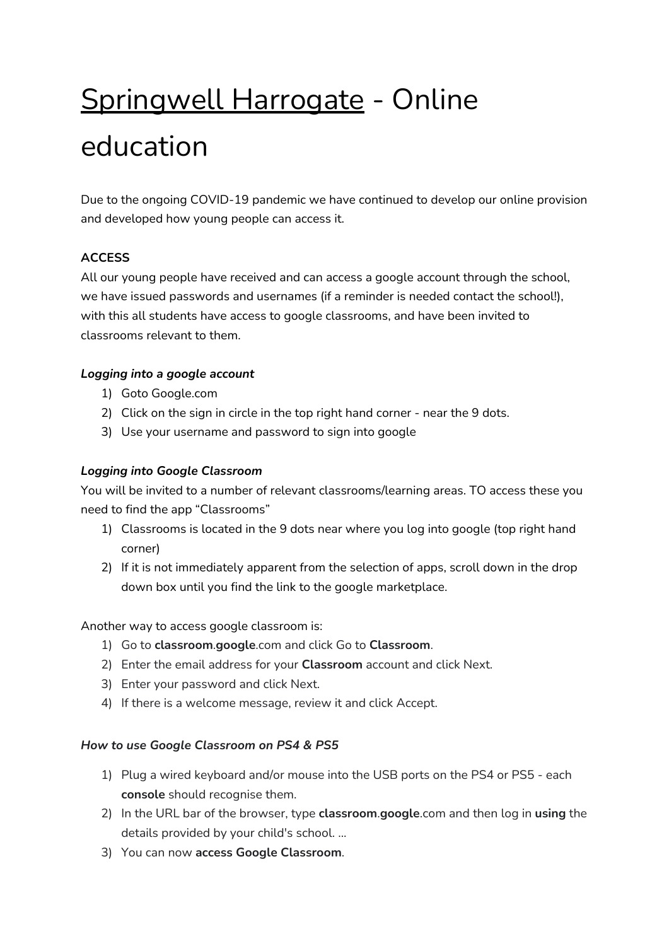# Springwell Harrogate - Online education

Due to the ongoing COVID-19 pandemic we have continued to develop our online provision and developed how young people can access it.

## **ACCESS**

All our young people have received and can access a google account through the school, we have issued passwords and usernames (if a reminder is needed contact the school!), with this all students have access to google classrooms, and have been invited to classrooms relevant to them.

## *Logging into a google account*

- 1) Goto Google.com
- 2) Click on the sign in circle in the top right hand corner near the 9 dots.
- 3) Use your username and password to sign into google

### *Logging into Google Classroom*

You will be invited to a number of relevant classrooms/learning areas. TO access these you need to find the app "Classrooms"

- 1) Classrooms is located in the 9 dots near where you log into google (top right hand corner)
- 2) If it is not immediately apparent from the selection of apps, scroll down in the drop down box until you find the link to the google marketplace.

#### Another way to access google classroom is:

- 1) Go to **classroom**.**google**.com and click Go to **Classroom**.
- 2) Enter the email address for your **Classroom** account and click Next.
- 3) Enter your password and click Next.
- 4) If there is a welcome message, review it and click Accept.

#### *How to use Google Classroom on PS4 & PS5*

- 1) Plug a wired keyboard and/or mouse into the USB ports on the PS4 or PS5 each **console** should recognise them.
- 2) In the URL bar of the browser, type **classroom**.**google**.com and then log in **using** the details provided by your child's school. ...
- 3) You can now **access Google Classroom**.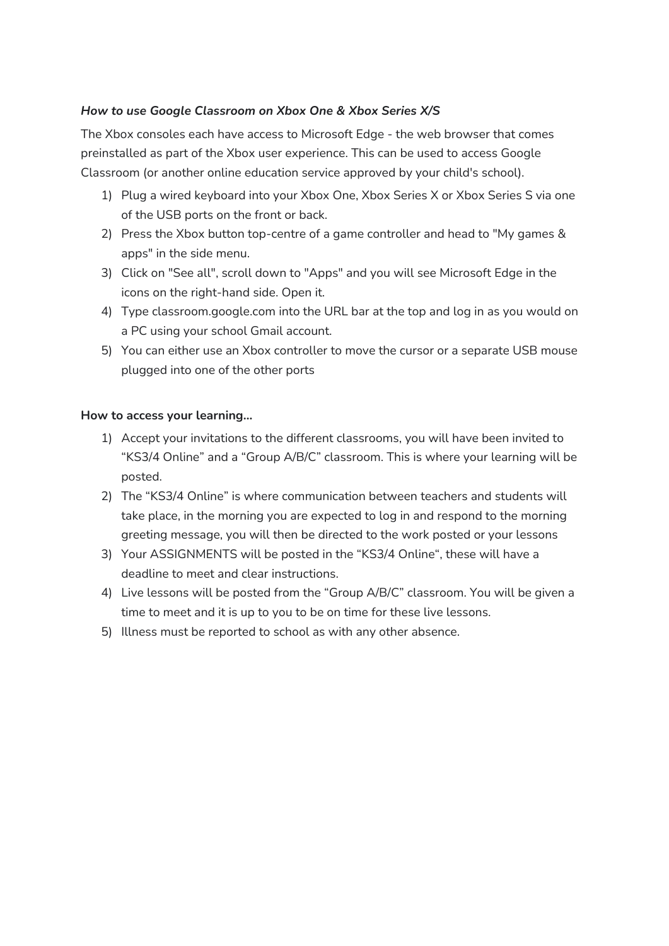## *How to use Google Classroom on Xbox One & Xbox Series X/S*

The Xbox consoles each have access to Microsoft Edge - the web browser that comes preinstalled as part of the Xbox user experience. This can be used to access Google Classroom (or another online education service approved by your child's school).

- 1) Plug a wired keyboard into your Xbox One, Xbox Series X or Xbox Series S via one of the USB ports on the front or back.
- 2) Press the Xbox button top-centre of a game controller and head to "My games & apps" in the side menu.
- 3) Click on "See all", scroll down to "Apps" and you will see Microsoft Edge in the icons on the right-hand side. Open it.
- 4) Type classroom.google.com into the URL bar at the top and log in as you would on a PC using your school Gmail account.
- 5) You can either use an Xbox controller to move the cursor or a separate USB mouse plugged into one of the other ports

#### **How to access your learning…**

- 1) Accept your invitations to the different classrooms, you will have been invited to "KS3/4 Online" and a "Group A/B/C" classroom. This is where your learning will be posted.
- 2) The "KS3/4 Online" is where communication between teachers and students will take place, in the morning you are expected to log in and respond to the morning greeting message, you will then be directed to the work posted or your lessons
- 3) Your ASSIGNMENTS will be posted in the "KS3/4 Online", these will have a deadline to meet and clear instructions.
- 4) Live lessons will be posted from the "Group A/B/C" classroom. You will be given a time to meet and it is up to you to be on time for these live lessons.
- 5) Illness must be reported to school as with any other absence.